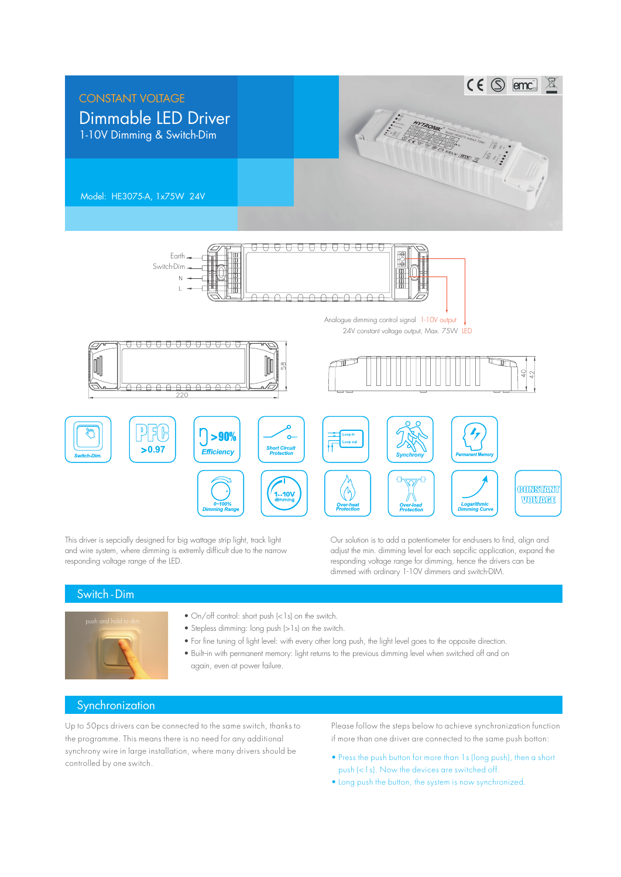

This driver is sepcially designed for big wattage strip light, track light and wire system, where dimming is extremly difficult due to the narrow responding voltage range of the LED.

Our solution is to add a potentiometer for end-users to find, align and adjust the min. dimming level for each sepcific application, expand the responding voltage range for dimming, hence the drivers can be dimmed with ordinary 1-10V dimmers and switch-DIM.

## Switch -Dim



- On/off control: short push (<1s) on the switch.
- Stepless dimming: long push (>1s) on the switch.
- For fine tuning of light level: with every other long push, the light level goes to the opposite direction.
- Built-in with permanent memory: light returns to the previous dimming level when switched off and on again, even at power failure.

## **Synchronization**

Up to 50pcs drivers can be connected to the same switch, thanks to the programme. This means there is no need for any additional synchrony wire in large installation, where many drivers should be controlled by one switch.

Please follow the steps below to achieve synchronization function if more than one driver are connected to the same push botton:

- Press the push button for more than 1s (long push), then a short push (<1s). Now the devices are switched off.
- Long push the button, the system is now synchronized.